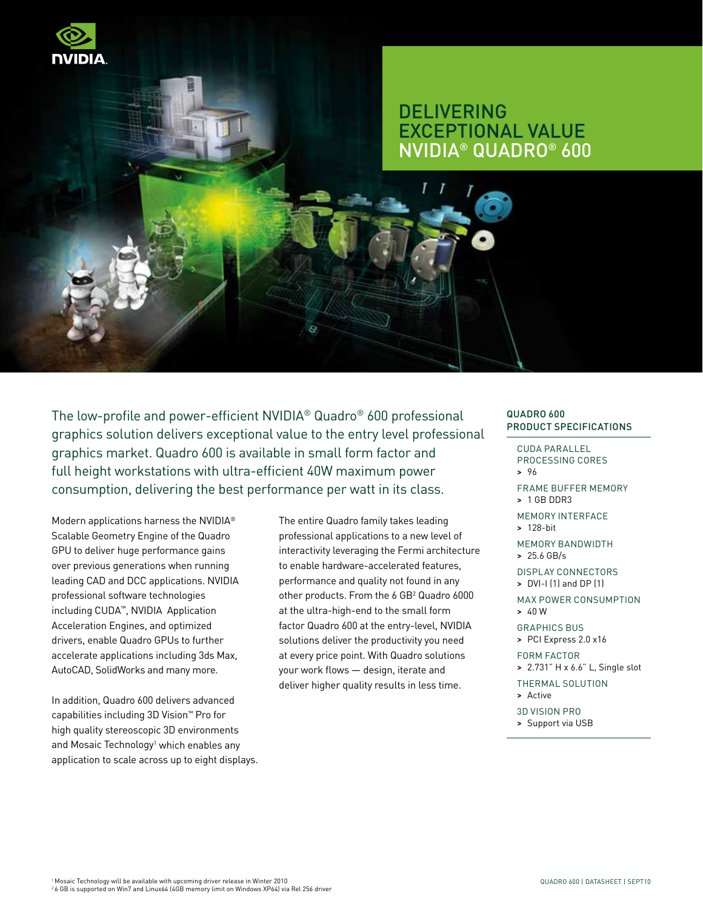

# **DELIVERING** Exceptional Value NVIDIA® Quadro® 600

The low-profile and power-efficient NVIDIA® Quadro® 600 professional graphics solution delivers exceptional value to the entry level professional graphics market. Quadro 600 is available in small form factor and full height workstations with ultra-efficient 40W maximum power consumption, delivering the best performance per watt in its class.

Modern applications harness the NVIDIA® Scalable Geometry Engine of the Quadro GPU to deliver huge performance gains over previous generations when running leading CAD and DCC applications. NVIDIA professional software technologies including CUDA™, NVIDIA Application Acceleration Engines, and optimized drivers, enable Quadro GPUs to further accelerate applications including 3ds Max, AutoCAD, SolidWorks and many more.

In addition, Quadro 600 delivers advanced capabilities including 3D Vision™ Pro for high quality stereoscopic 3D environments and Mosaic Technology<sup>1</sup> which enables any application to scale across up to eight displays. The entire Quadro family takes leading professional applications to a new level of interactivity leveraging the Fermi architecture to enable hardware-accelerated features, performance and quality not found in any other products. From the 6 GB<sup>2</sup> Quadro 6000 at the ultra-high-end to the small form factor Quadro 600 at the entry-level, NVIDIA solutions deliver the productivity you need at every price point. With Quadro solutions your work flows — design, iterate and deliver higher quality results in less time.

#### Quadro 600 PRODUCT SPECIFICATIONS

- Cuda parallel processing cores > 96
- Frame buffer memory > 1 GB DDR3
- Memory interface > 128-bit
- Memory bandwidth
- > 25.6 GB/s
- Display connectors > DVI-I (1) and DP (1)
- Max Power Consumption > 40 W
- Graphics BUS
- > PCI Express 2.0 x16 Form Factor
- > 2.731" H x 6.6" L, Single slot
- Thermal Solution
- > Active
- 3D Vision Pro
- > Support via USB